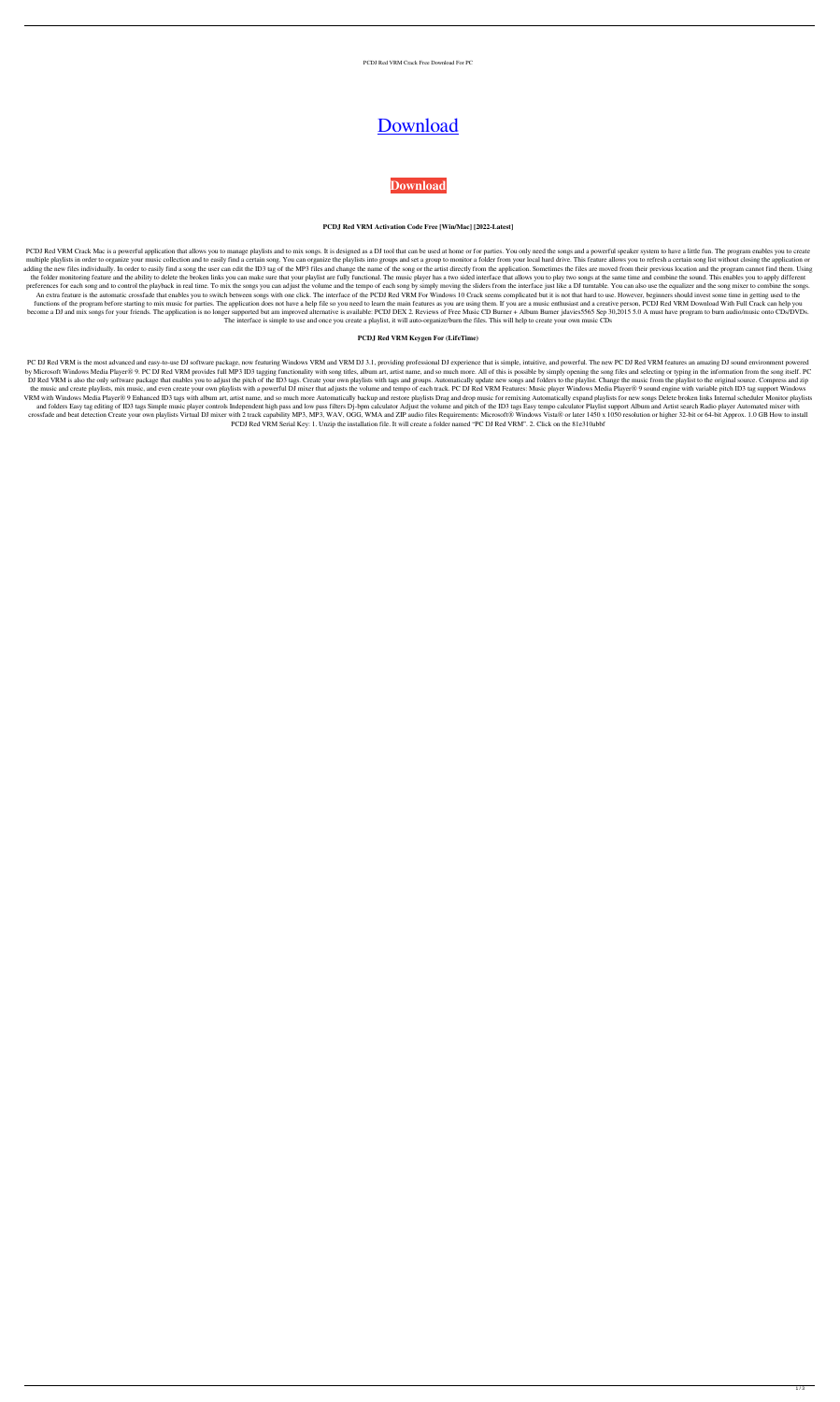PCDJ Red VRM Crack Free Download For PC

# **[Download](http://evacdir.com/ZG93bmxvYWR8ajluT0hwdFlueDhNVFkxTkRRek5qWTFPSHg4TWpVNU1IeDhLRTBwSUZkdmNtUndjbVZ6Y3lCYldFMU1VbEJESUZZeUlGQkVSbDA/belvedere.clingmans.burchette.UENESiBSZWQgVlJNUEN/clarified.exclusivity)**

## **[Download](http://evacdir.com/ZG93bmxvYWR8ajluT0hwdFlueDhNVFkxTkRRek5qWTFPSHg4TWpVNU1IeDhLRTBwSUZkdmNtUndjbVZ6Y3lCYldFMU1VbEJESUZZeUlGQkVSbDA/belvedere.clingmans.burchette.UENESiBSZWQgVlJNUEN/clarified.exclusivity)**

#### **PCDJ Red VRM Activation Code Free [Win/Mac] [2022-Latest]**

PCDJ Red VRM Crack Mac is a powerful application that allows you to manage playlists and to mix songs. It is designed as a DJ tool that can be used at home or for parties. You only need the songs and a powerful speaker sys multiple playlists in order to organize your music collection and to easily find a certain song. You can organize the playlists into groups and set a group to monitor a folder from your local hard drive. This feature allow adding the new files individually. In order to easily find a song the user can edit the ID3 tag of the MP3 files and change the name of the song or the artist directly from the application. Sometimes the files are moved fr the folder monitoring feature and the ability to delete the broken links you can make sure that your playlist are fully functional. The music player has a two sided interface that allows you to play two songs at the same t preferences for each song and to control the playback in real time. To mix the songs you can adjust the volume and the tempo of each song by simply moving the sliders from the interface just like a DJ turntable. You can al An extra feature is the automatic crossfade that enables you to switch between songs with one click. The interface of the PCDJ Red VRM For Windows 10 Crack seems complicated but it is not that hard to use. However, beginne functions of the program before starting to mix music for parties. The application does not have a help file so you need to learn the main features as you are using them. If you are a music enthusiast and a creative person become a DJ and mix songs for your friends. The application is no longer supported but am improved alternative is available: PCDJ DEX 2. Reviews of Free Music CD Burner + Album Burner jdavies 5565 Sep 30,2015 5.0 A must ha The interface is simple to use and once you create a playlist, it will auto-organize/burn the files. This will help to create your own music CDs

PC DJ Red VRM is the most advanced and easy-to-use DJ software package, now featuring Windows VRM and VRM DJ 3.1, providing professional DJ experience that is simple, intuitive, and powerful. The new PC DJ Red VRM features by Microsoft Windows Media Player® 9. PC DJ Red VRM provides full MP3 ID3 tagging functionality with song titles, album art, artist name, and so much more. All of this is possible by simply opening the song files and selec DJ Red VRM is also the only software package that enables you to adjust the pitch of the ID3 tags. Create your own playlists with tags and groups. Automatically update new songs and folders to the playlist. Change the musi the music and create playlists, mix music, and even create your own playlists with a powerful DJ mixer that adjusts the volume and tempo of each track. PC DJ Red VRM Features: Music player Windows Media Player® 9 sound eng VRM with Windows Media Player® 9 Enhanced ID3 tags with album art, artist name, and so much more Automatically backup and restore playlists Drag and drop music for remixing Automatically expand playlists for new songs Dele and folders Easy tag editing of ID3 tags Simple music player controls Independent high pass and low pass filters Dj-bpm calculator Adjust the volume and pitch of the ID3 tags Easy tempo calculator Playlist support Album an crossfade and beat detection Create your own playlists Virtual DJ mixer with 2 track capability MP3, MP3, WAV, OGG, WMA and ZIP audio files Requirements: Microsoft® Windows Vista® or later 1450 x 1050 resolution or higher PCDJ Red VRM Serial Key: 1. Unzip the installation file. It will create a folder named "PC DJ Red VRM". 2. Click on the 81e310abbf

#### **PCDJ Red VRM Keygen For (LifeTime)**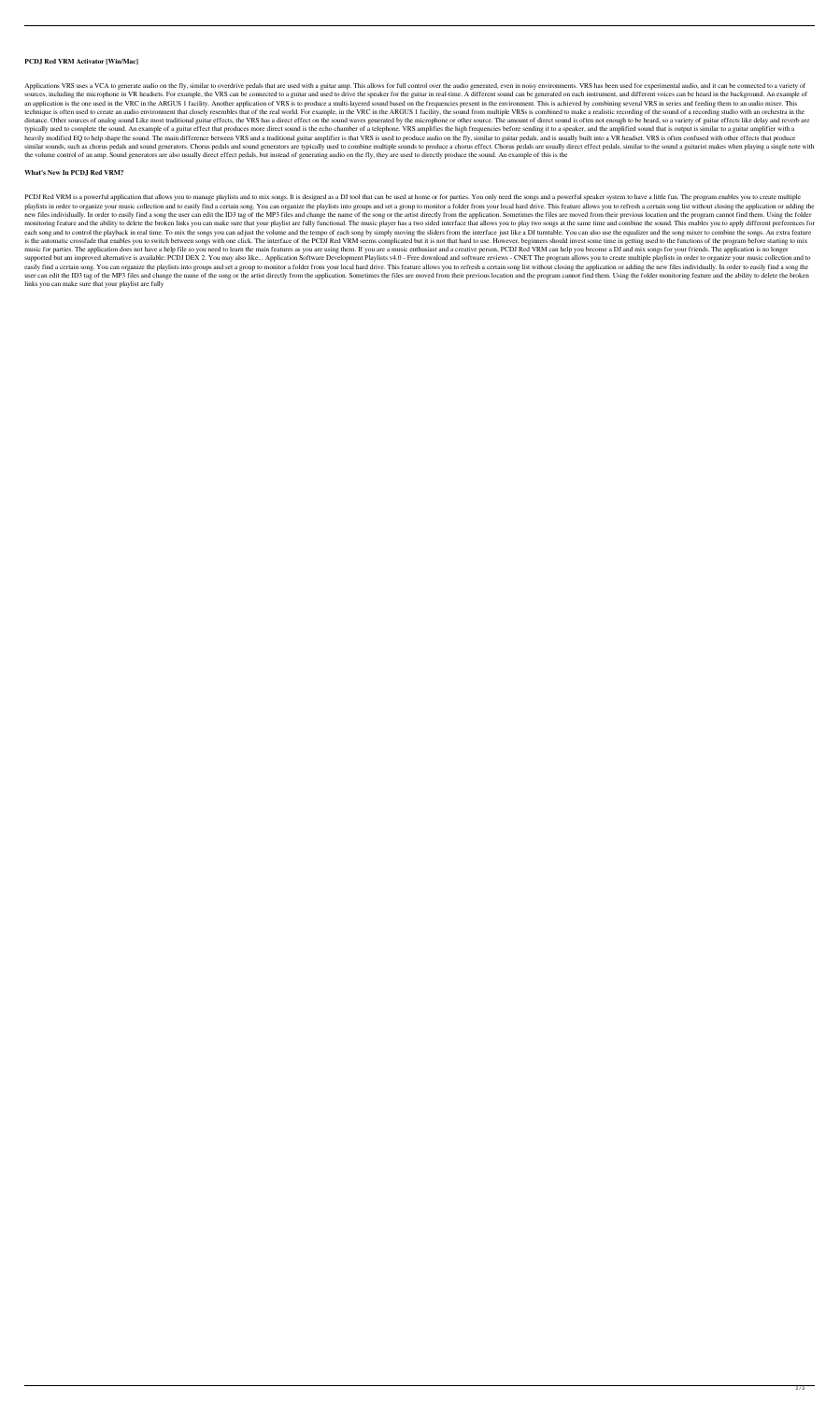#### **PCDJ Red VRM Activator [Win/Mac]**

Applications VRS uses a VCA to generate audio on the fly, similar to overdrive pedals that are used with a guitar amp. This allows for full control over the audio generated, even in noisy environments. VRS has been used fo sources, including the microphone in VR headsets. For example, the VRS can be connected to a guitar and used to drive the speaker for the guitar in real-time. A different sound can be generated on each instrument, and diff an application is the one used in the VRC in the ARGUS 1 facility. Another application of VRS is to produce a multi-layered sound based on the frequencies present in the environment. This is achieved by combining several V technique is often used to create an audio environment that closely resembles that of the real world. For example, in the VRC in the ARGUS 1 facility, the sound from multiple VRSs is combined to make a realistic recording distance. Other sources of analog sound Like most traditional guitar effects, the VRS has a direct effect on the sound waves generated by the microphone or other source. The amount of direct sound is often not enough to be typically used to complete the sound. An example of a guitar effect that produces more direct sound is the echo chamber of a telephone. VRS amplifies the high frequencies before sending it to a speaker, and the amplified s heavily modified EQ to help shape the sound. The main difference between VRS and a traditional guitar amplifier is that VRS is used to produce audio on the fly, similar to guitar pedals, and is usually built into a VR head similar sounds, such as chorus pedals and sound generators. Chorus pedals and sound generators are typically used to combine multiple sounds to produce a chorus effect. Chorus pedals are usually direct effect pedals, simil the volume control of an amp. Sound generators are also usually direct effect pedals, but instead of generating audio on the fly, they are used to directly produce the sound. An example of this is the

#### **What's New In PCDJ Red VRM?**

PCDJ Red VRM is a powerful application that allows you to manage playlists and to mix songs. It is designed as a DJ tool that can be used at home or for parties. You only need the songs and a powerful speaker system to hav playlists in order to organize your music collection and to easily find a certain song. You can organize the playlists into groups and set a group to monitor a folder from your local hard drive. This feature allows you to new files individually. In order to easily find a song the user can edit the ID3 tag of the MP3 files and change the name of the song or the artist directly from the application. Sometimes the files are moved from their pr monitoring feature and the ability to delete the broken links you can make sure that your playlist are fully functional. The music player has a two sided interface that allows you to play two songs at the same time and com each song and to control the playback in real time. To mix the songs you can adjust the volume and the tempo of each song by simply moving the sliders from the interface just like a DJ turntable. You can also use the equal is the automatic crossfade that enables you to switch between songs with one click. The interface of the PCDJ Red VRM seems complicated but it is not that hard to use. However, beginners should invest some time in getting music for parties. The application does not have a help file so you need to learn the main features as you are using them. If you are a music enthusiast and a creative person, PCDJ Red VRM can help you become a DJ and mix supported but am improved alternative is available: PCDJ DEX 2. You may also like... Application Software Development Playlists v4.0 - Free download and software reviews - CNET The program allows you to create multiple pla easily find a certain song. You can organize the playlists into groups and set a group to monitor a folder from your local hard drive. This feature allows you to refresh a certain song list without closing the application user can edit the ID3 tag of the MP3 files and change the name of the song or the artist directly from the application. Sometimes the files are moved from their previous location and the program cannot find them. Using the links you can make sure that your playlist are fully